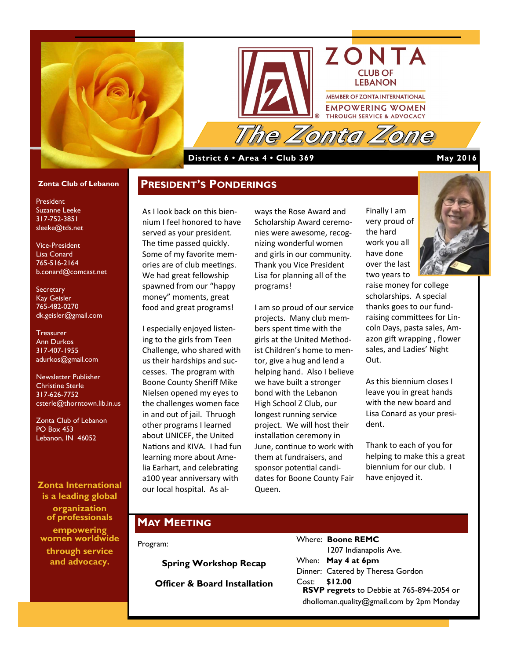



### **District 6 • Area 4 • Club 369 May 2016**

#### **Zonta Club of Lebanon**

President Suzanne Leeke 317-752-3851 sleeke@tds.net

Vice-President Lisa Conard 765-516-2164 b.conard@comcast.net

**Secretary** Kay Geisler 765-482-0270 dk.geisler@gmail.com

**Treasurer** Ann Durkos 317-407-1955 adurkos@gmail.com

Newsletter Publisher Christine Sterle 317-626-7752 csterle@thorntown.lib.in.us

Zonta Club of Lebanon PO Box 453 Lebanon, IN 46052

**Zonta International is a leading global organization of professionals empowering women worldwide through service and advocacy.**

As I look back on this biennium I feel honored to have served as your president. The time passed quickly. Some of my favorite memories are of club meetings. We had great fellowship spawned from our "happy money" moments, great food and great programs!

**PRESIDENT'S PONDERINGS**

I especially enjoyed listening to the girls from Teen Challenge, who shared with us their hardships and successes. The program with Boone County Sheriff Mike Nielsen opened my eyes to the challenges women face in and out of jail. Thruogh other programs I learned about UNICEF, the United Nations and KIVA. I had fun learning more about Amelia Earhart, and celebrating a100 year anniversary with our local hospital. As al-

ways the Rose Award and Scholarship Award ceremonies were awesome, recognizing wonderful women and girls in our community. Thank you Vice President Lisa for planning all of the programs!

I am so proud of our service projects. Many club members spent time with the girls at the United Methodist Children's home to mentor, give a hug and lend a helping hand. Also I believe we have built a stronger bond with the Lebanon High School Z Club, our longest running service project. We will host their installation ceremony in June, continue to work with them at fundraisers, and sponsor potential candidates for Boone County Fair Queen.

Finally I am very proud of the hard work you all have done over the last two years to

raise money for college scholarships. A special thanks goes to our fundraising committees for Lincoln Days, pasta sales, Amazon gift wrapping , flower sales, and Ladies' Night Out.

As this biennium closes I leave you in great hands with the new board and Lisa Conard as your president.

Thank to each of you for helping to make this a great biennium for our club. I have enjoyed it.

### **MAY MEETING**

Program:

**Spring Workshop Recap Officer & Board Installation** Where: **Boone REMC** 1207 Indianapolis Ave. When: **May 4 at 6pm** Dinner: Catered by Theresa Gordon Cost: **\$12.00 RSVP regrets** to Debbie at 765-894-2054 or dholloman.quality@gmail.com by 2pm Monday